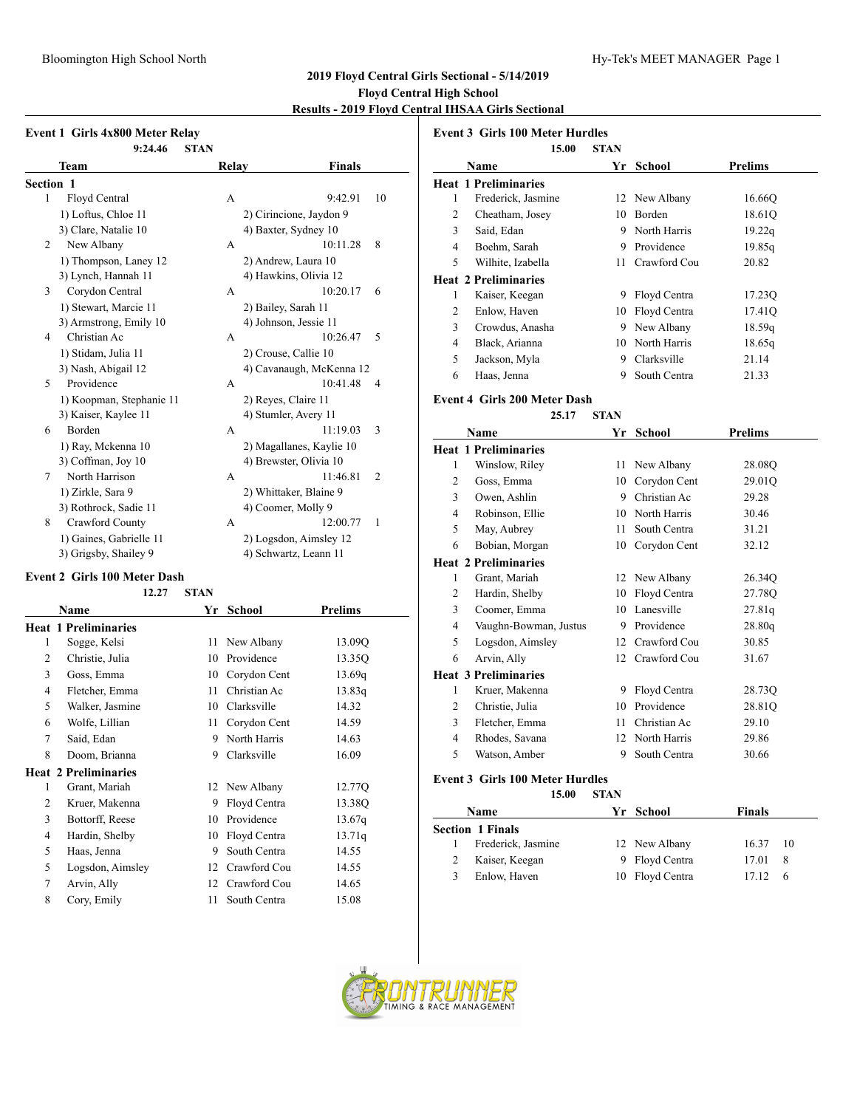#### Bloomington High School North **Hy-Tek's MEET MANAGER** Page 1

## **2019 Floyd Central Girls Sectional - 5/14/2019 Floyd Central High School**

## **Results - 2019 Floyd Central IHSAA Girls Sectional**

|                  | <b>Event 1 Girls 4x800 Meter Relay</b><br>9:24.46 | <b>STAN</b> |                          |                |
|------------------|---------------------------------------------------|-------------|--------------------------|----------------|
|                  | Team                                              | Relay       | Finals                   |                |
| <b>Section 1</b> |                                                   |             |                          |                |
| 1                | Floyd Central                                     | A           | 9:42.91                  | 10             |
|                  | 1) Loftus, Chloe 11                               |             | 2) Cirincione, Jaydon 9  |                |
|                  | 3) Clare, Natalie 10                              |             | 4) Baxter, Sydney 10     |                |
| 2                | New Albany                                        | A           | 10:11.28                 | 8              |
|                  | 1) Thompson, Laney 12                             |             | 2) Andrew, Laura 10      |                |
|                  | 3) Lynch, Hannah 11                               |             | 4) Hawkins, Olivia 12    |                |
| 3                | Corydon Central                                   | A           | 10:20.17                 | 6              |
|                  | 1) Stewart, Marcie 11                             |             | 2) Bailey, Sarah 11      |                |
|                  | 3) Armstrong, Emily 10                            |             | 4) Johnson, Jessie 11    |                |
| 4                | Christian Ac                                      | A           | 10:26.47                 | 5              |
|                  | 1) Stidam, Julia 11                               |             | 2) Crouse, Callie 10     |                |
|                  | 3) Nash, Abigail 12                               |             | 4) Cavanaugh, McKenna 12 |                |
| 5                | Providence                                        | A           | 10:41.48                 | $\overline{4}$ |
|                  | 1) Koopman, Stephanie 11                          |             | 2) Reyes, Claire 11      |                |
|                  | 3) Kaiser, Kaylee 11                              |             | 4) Stumler, Avery 11     |                |
| 6                | Borden                                            | A           | 11:19.03                 | 3              |
|                  | 1) Ray, Mckenna 10                                |             | 2) Magallanes, Kaylie 10 |                |
|                  | 3) Coffman, Joy 10                                |             | 4) Brewster, Olivia 10   |                |
| 7                | North Harrison                                    | A           | 11:46.81                 | $\overline{2}$ |
|                  | 1) Zirkle, Sara 9                                 |             | 2) Whittaker, Blaine 9   |                |
|                  | 3) Rothrock, Sadie 11                             |             | 4) Coomer, Molly 9       |                |
| 8                | Crawford County                                   | A           | 12:00.77                 | 1              |
|                  | 1) Gaines, Gabrielle 11                           |             | 2) Logsdon, Aimsley 12   |                |
|                  | 3) Grigsby, Shailey 9                             |             | 4) Schwartz, Leann 11    |                |
|                  |                                                   |             |                          |                |

#### **Event 2 Girls 100 Meter Dash**

**12.27 STAN**

|                | Name                        | Yr | <b>School</b> | <b>Prelims</b> |  |
|----------------|-----------------------------|----|---------------|----------------|--|
|                | <b>Heat 1 Preliminaries</b> |    |               |                |  |
| 1              | Sogge, Kelsi                | 11 | New Albany    | 13.09Q         |  |
| 2              | Christie, Julia             | 10 | Providence    | 13.35Q         |  |
| 3              | Goss, Emma                  | 10 | Corydon Cent  | 13.69q         |  |
| $\overline{4}$ | Fletcher, Emma              | 11 | Christian Ac  | 13.83q         |  |
| 5              | Walker, Jasmine             | 10 | Clarksville   | 14.32          |  |
| 6              | Wolfe, Lillian              | 11 | Corydon Cent  | 14.59          |  |
| 7              | Said, Edan                  | 9  | North Harris  | 14.63          |  |
| 8              | Doom, Brianna               | 9  | Clarksville   | 16.09          |  |
|                | <b>Heat 2 Preliminaries</b> |    |               |                |  |
| 1              | Grant, Mariah               | 12 | New Albany    | 12.77Q         |  |
| 2              | Kruer, Makenna              | 9  | Floyd Centra  | 13.38Q         |  |
| 3              | Bottorff, Reese             | 10 | Providence    | 13.67q         |  |
| $\overline{4}$ | Hardin, Shelby              | 10 | Floyd Centra  | 13.71q         |  |
| 5              | Haas, Jenna                 | 9  | South Centra  | 14.55          |  |
| 5              | Logsdon, Aimsley            | 12 | Crawford Cou  | 14.55          |  |
| 7              | Arvin, Ally                 | 12 | Crawford Cou  | 14.65          |  |
| 8              | Cory, Emily                 | 11 | South Centra  | 15.08          |  |
|                |                             |    |               |                |  |

|          | <b>Event 3 Girls 100 Meter Hurdles</b> |       |             |                 |                |
|----------|----------------------------------------|-------|-------------|-----------------|----------------|
|          |                                        | 15.00 | <b>STAN</b> |                 |                |
|          | Name                                   |       | Yr          | School          | <b>Prelims</b> |
|          | <b>Heat 1 Preliminaries</b>            |       |             |                 |                |
| 1        | Frederick, Jasmine                     |       | 12          | New Albany      | 16.660         |
| 2        | Cheatham, Josey                        |       | 10          | Borden          | 18.61Q         |
| 3        | Said, Edan                             |       | 9           | North Harris    | 19.22q         |
| 4        | Boehm, Sarah                           |       | 9           | Providence      | 19.85q         |
| 5        | Wilhite, Izabella                      |       | 11          | Crawford Cou    | 20.82          |
|          | <b>Heat 2 Preliminaries</b>            |       |             |                 |                |
| 1        | Kaiser, Keegan                         |       | 9           | Floyd Centra    | 17.23Q         |
| 2        | Enlow, Haven                           |       | 10          | Floyd Centra    | 17.41Q         |
| 3        | Crowdus, Anasha                        |       | 9           | New Albany      | 18.59q         |
| 4        | Black, Arianna                         |       | 10          | North Harris    | 18.65q         |
| 5        | Jackson, Myla                          |       | 9           | Clarksville     | 21.14          |
| 6        | Haas, Jenna                            |       | 9           | South Centra    | 21.33          |
|          | <b>Event 4 Girls 200 Meter Dash</b>    |       |             |                 |                |
|          |                                        | 25.17 | <b>STAN</b> |                 |                |
|          | Name                                   |       | Yr          | School          | <b>Prelims</b> |
|          | <b>Heat 1 Preliminaries</b>            |       |             |                 |                |
| 1        | Winslow, Riley                         |       | 11          | New Albany      | 28.08Q         |
| 2        | Goss, Emma                             |       | 10          | Corydon Cent    | 29.01Q         |
| 3        | Owen, Ashlin                           |       | 9           | Christian Ac    | 29.28          |
| $\Delta$ | Robinson Ellie                         |       |             | 10 North Harris | 30.46          |

| 4 | Robinson, Ellie             | 10 | North Harris    | 30.46  |  |
|---|-----------------------------|----|-----------------|--------|--|
| 5 | May, Aubrey                 | 11 | South Centra    | 31.21  |  |
| 6 | Bobian, Morgan              | 10 | Corydon Cent    | 32.12  |  |
|   | <b>Heat 2 Preliminaries</b> |    |                 |        |  |
| 1 | Grant, Mariah               |    | 12 New Albany   | 26.34Q |  |
| 2 | Hardin, Shelby              | 10 | Floyd Centra    | 27.78Q |  |
| 3 | Coomer, Emma                |    | 10 Lanesville   | 27.81q |  |
| 4 | Vaughn-Bowman, Justus       | 9  | Providence      | 28.80q |  |
| 5 | Logsdon, Aimsley            |    | 12 Crawford Cou | 30.85  |  |
| 6 | Arvin, Ally                 |    | 12 Crawford Cou | 31.67  |  |
|   | <b>Heat 3 Preliminaries</b> |    |                 |        |  |
| 1 | Kruer, Makenna              | 9  | Floyd Centra    | 28.73Q |  |
| 2 | Christie, Julia             | 10 | Providence      | 28.81Q |  |
| 3 | Fletcher, Emma              | 11 | Christian Ac    | 29.10  |  |
| 4 | Rhodes, Savana              |    | 12 North Harris | 29.86  |  |
| 5 | Watson, Amber               | 9  | South Centra    | 30.66  |  |
|   |                             |    |                 |        |  |

#### **Event 3 Girls 100 Meter Hurdles**

**15.00 STAN**

|   | <b>Name</b>             | Yr School       | <b>Finals</b> |     |
|---|-------------------------|-----------------|---------------|-----|
|   | <b>Section 1 Finals</b> |                 |               |     |
|   | Frederick, Jasmine      | 12 New Albany   | 16.37 10      |     |
| 2 | Kaiser, Keegan          | 9 Floyd Centra  | 17.01         | - 8 |
| 3 | Enlow, Haven            | 10 Floyd Centra | 17.12         | - 6 |

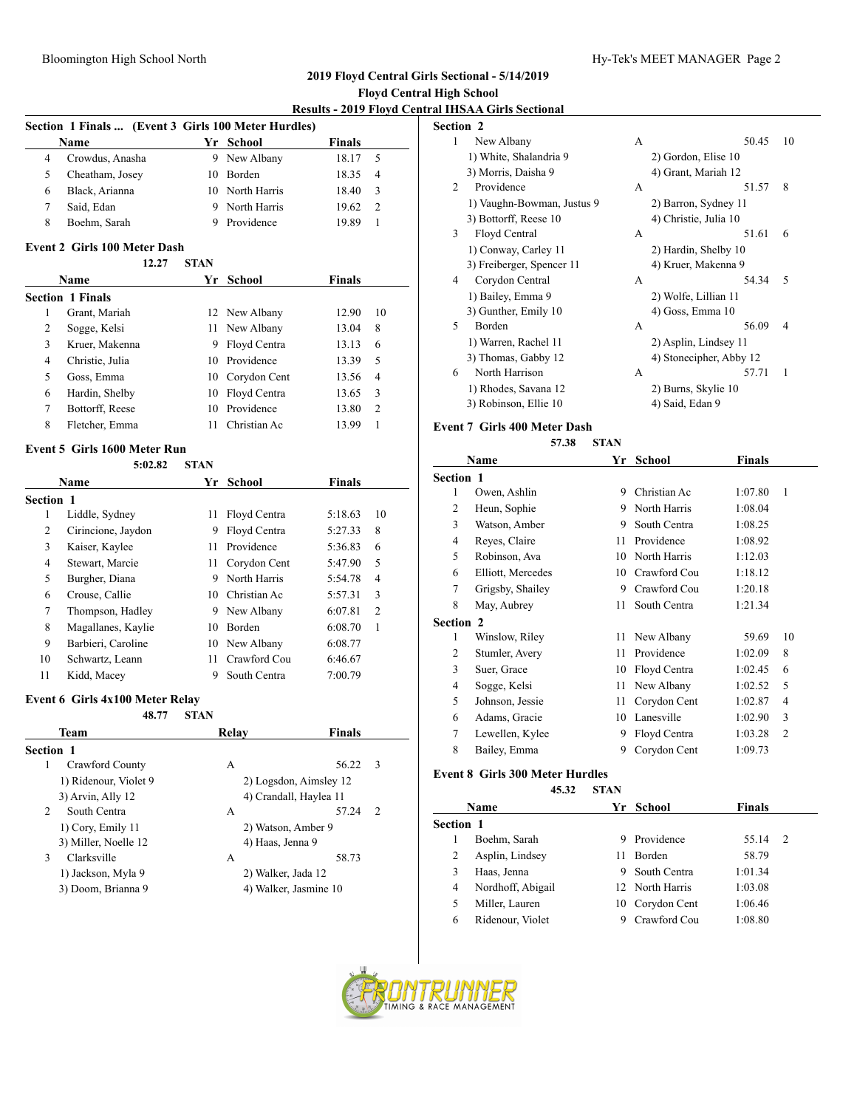### **2019 Floyd Central Girls Sectional - 5/14/2019 Floyd Central High School**

|                |                                                     |             |                 | <b>Results - 2019 Floyd Cent</b> |                |
|----------------|-----------------------------------------------------|-------------|-----------------|----------------------------------|----------------|
|                | Section 1 Finals  (Event 3 Girls 100 Meter Hurdles) |             |                 |                                  |                |
|                | Name                                                |             | Yr School       | <b>Finals</b>                    |                |
| $\overline{4}$ | Crowdus, Anasha                                     |             | 9 New Albany    | 18.17                            | 5              |
| 5              | Cheatham, Josey                                     |             | 10 Borden       | 18.35                            | $\overline{4}$ |
| 6              | Black, Arianna                                      |             | 10 North Harris | 18.40                            | 3              |
| 7              | Said, Edan                                          |             | 9 North Harris  | 19.62                            | $\overline{c}$ |
| 8              | Boehm, Sarah                                        | 9           | Providence      | 19.89                            | $\mathbf{1}$   |
|                | <b>Event 2 Girls 100 Meter Dash</b>                 |             |                 |                                  |                |
|                | 12.27                                               | <b>STAN</b> |                 |                                  |                |
|                | Name                                                |             | Yr School       | <b>Finals</b>                    |                |
|                | <b>Section 1 Finals</b>                             |             |                 |                                  |                |
| $\mathbf{1}$   | Grant, Mariah                                       |             | 12 New Albany   | 12.90                            | 10             |
| $\overline{c}$ | Sogge, Kelsi                                        |             | 11 New Albany   | 13.04                            | 8              |
| 3              | Kruer, Makenna                                      |             | 9 Floyd Centra  | 13.13                            | 6              |
| $\overline{4}$ | Christie, Julia                                     |             | 10 Providence   | 13.39                            | 5              |
| 5              | Goss, Emma                                          |             | 10 Corydon Cent | 13.56                            | 4              |
| 6              | Hardin, Shelby                                      |             | 10 Floyd Centra | 13.65                            | 3              |
| 7              | Bottorff, Reese                                     | 10          | Providence      | 13.80                            | $\overline{c}$ |
| 8              | Fletcher, Emma                                      | 11          | Christian Ac    | 13.99                            | $\mathbf{1}$   |
|                | Event 5 Girls 1600 Meter Run                        |             |                 |                                  |                |
|                | 5:02.82                                             | <b>STAN</b> |                 |                                  |                |
|                | <b>Name</b>                                         | Yr          | School          | <b>Finals</b>                    |                |
| Section 1      |                                                     |             |                 |                                  |                |
| $\mathbf{1}$   | Liddle, Sydney                                      | 11          | Floyd Centra    | 5:18.63                          | 10             |
| $\overline{2}$ | Cirincione, Jaydon                                  | 9           | Floyd Centra    | 5:27.33                          | 8              |
| 3              | Kaiser, Kaylee                                      | 11 -        | Providence      | 5:36.83                          | 6              |
| $\overline{4}$ | Stewart, Marcie                                     | 11 -        | Corydon Cent    | 5:47.90                          | 5              |
| 5              | Burgher, Diana                                      |             | 9 North Harris  | 5:54.78                          | $\overline{4}$ |
| 6              | Crouse, Callie                                      |             | 10 Christian Ac | 5:57.31                          | 3              |
| 7              | Thompson, Hadley                                    |             | 9 New Albany    | 6:07.81                          | $\overline{c}$ |
| 8              | Magallanes, Kaylie                                  |             | 10 Borden       | 6:08.70                          | 1              |
| 9              | Barbieri, Caroline                                  |             | 10 New Albany   | 6:08.77                          |                |
| 10             | Schwartz, Leann                                     | 11          | Crawford Cou    | 6:46.67                          |                |
| 11             | Kidd, Macey                                         | 9           | South Centra    | 7:00.79                          |                |
|                | Event 6 Girls 4x100 Meter Relay                     |             |                 |                                  |                |
|                | 48.77                                               | <b>STAN</b> |                 |                                  |                |
|                | Team                                                |             | Relay           | Finals                           |                |

| <b>Section 1</b> |                       |                        |                         |  |
|------------------|-----------------------|------------------------|-------------------------|--|
| 1                | Crawford County       | A                      | 56.22<br>-3             |  |
|                  | 1) Ridenour, Violet 9 | 2) Logsdon, Aimsley 12 |                         |  |
|                  | 3) Arvin, Ally 12     | 4) Crandall, Haylea 11 |                         |  |
| $\mathfrak{D}$   | South Centra          | A                      | 57.24<br>$\overline{2}$ |  |
|                  | 1) Cory, Emily 11     | 2) Watson, Amber 9     |                         |  |
|                  | 3) Miller, Noelle 12  | 4) Haas, Jenna 9       |                         |  |
| 3                | Clarksville           | A                      | 58.73                   |  |
|                  | 1) Jackson, Myla 9    | 2) Walker, Jada 12     |                         |  |
|                  | 3) Doom, Brianna 9    | 4) Walker, Jasmine 10  |                         |  |

|           | tral IHSAA Girls Sectional |   |                         |    |
|-----------|----------------------------|---|-------------------------|----|
| Section 2 |                            |   |                         |    |
| 1         | New Albany                 | A | 50.45                   | 10 |
|           | 1) White, Shalandria 9     |   | 2) Gordon, Elise 10     |    |
|           | 3) Morris, Daisha 9        |   | 4) Grant, Mariah 12     |    |
| 2         | Providence                 | A | 51.57                   | 8  |
|           | 1) Vaughn-Bowman, Justus 9 |   | 2) Barron, Sydney 11    |    |
|           | 3) Bottorff, Reese 10      |   | 4) Christie, Julia 10   |    |
| 3         | Floyd Central              | A | 51.61                   | 6  |
|           | 1) Conway, Carley 11       |   | 2) Hardin, Shelby 10    |    |
|           | 3) Freiberger, Spencer 11  |   | 4) Kruer, Makenna 9     |    |
| 4         | Corydon Central            | A | 54.34                   | 5  |
|           | 1) Bailey, Emma 9          |   | 2) Wolfe, Lillian 11    |    |
|           | 3) Gunther, Emily 10       |   | 4) Goss, Emma 10        |    |
| 5         | Borden                     | A | 56.09                   | 4  |
|           | 1) Warren, Rachel 11       |   | 2) Asplin, Lindsey 11   |    |
|           | 3) Thomas, Gabby 12        |   | 4) Stonecipher, Abby 12 |    |
| 6         | North Harrison             | A | 57.71                   | 1  |
|           | 1) Rhodes, Savana 12       |   | 2) Burns, Skylie 10     |    |
|           | 3) Robinson, Ellie 10      |   | 4) Said, Edan 9         |    |

# **Event 7 Girls 400 Meter Dash**

|                  | 57.38             | <b>STAN</b> |              |         |                |
|------------------|-------------------|-------------|--------------|---------|----------------|
|                  | Name              | Yr          | School       | Finals  |                |
| <b>Section 1</b> |                   |             |              |         |                |
| 1                | Owen, Ashlin      | 9           | Christian Ac | 1:07.80 | 1              |
| 2                | Heun, Sophie      | 9           | North Harris | 1:08.04 |                |
| 3                | Watson, Amber     | 9           | South Centra | 1:08.25 |                |
| 4                | Reyes, Claire     | 11          | Providence   | 1:08.92 |                |
| 5                | Robinson, Ava     | 10          | North Harris | 1:12.03 |                |
| 6                | Elliott, Mercedes | 10          | Crawford Cou | 1:18.12 |                |
| 7                | Grigsby, Shailey  | 9           | Crawford Cou | 1:20.18 |                |
| 8                | May, Aubrey       | 11          | South Centra | 1:21.34 |                |
| <b>Section 2</b> |                   |             |              |         |                |
| 1                | Winslow, Riley    | 11          | New Albany   | 59.69   | 10             |
| 2                | Stumler, Avery    | 11          | Providence   | 1:02.09 | 8              |
| 3                | Suer, Grace       | 10          | Floyd Centra | 1:02.45 | 6              |
| 4                | Sogge, Kelsi      | 11          | New Albany   | 1:02.52 | 5              |
| 5                | Johnson, Jessie   | 11          | Corydon Cent | 1:02.87 | 4              |
| 6                | Adams, Gracie     | 10          | Lanesville   | 1:02.90 | 3              |
| 7                | Lewellen, Kylee   | 9           | Floyd Centra | 1:03.28 | $\overline{2}$ |
| 8                | Bailey, Emma      | 9           | Corydon Cent | 1:09.73 |                |
|                  |                   |             |              |         |                |

#### **Event 8 Girls 300 Meter Hurdles**

**45.32 STAN**

|           | Name              |    | Yr School       | <b>Finals</b> |   |
|-----------|-------------------|----|-----------------|---------------|---|
| Section 1 |                   |    |                 |               |   |
|           | Boehm, Sarah      | 9  | Providence      | 55.14         | 2 |
| 2         | Asplin, Lindsey   | 11 | <b>Borden</b>   | 58.79         |   |
|           | Haas, Jenna       | 9  | South Centra    | 1:01.34       |   |
| 4         | Nordhoff, Abigail |    | 12 North Harris | 1:03.08       |   |
| 5         | Miller, Lauren    |    | 10 Corydon Cent | 1:06.46       |   |
| 6         | Ridenour, Violet  | 9  | Crawford Cou    | 1:08.80       |   |
|           |                   |    |                 |               |   |

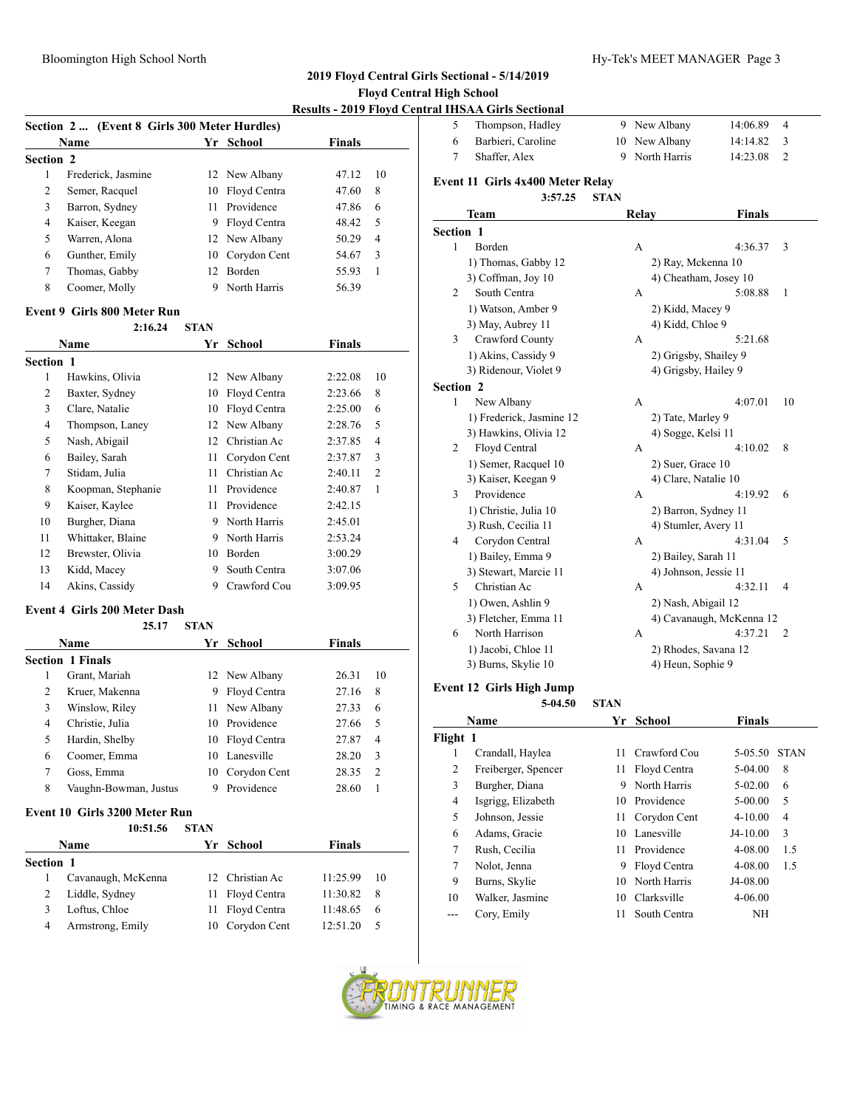#### Bloomington High School North **Hy-Tek's MEET MANAGER** Page 3

#### **2019 Floyd Central Girls Sectional - 5/14/2019**

#### **Floyd Central High School**

**Results - 2019 Floyd Central IHSAA Girls Sectional**

|                  |                                             |   |                 | <b>INCOURS - 4017 FROYA</b> C |                |  |  |
|------------------|---------------------------------------------|---|-----------------|-------------------------------|----------------|--|--|
|                  | Section 2 (Event 8 Girls 300 Meter Hurdles) |   |                 |                               |                |  |  |
|                  | <b>Name</b>                                 |   | Yr School       | <b>Finals</b>                 |                |  |  |
| <b>Section 2</b> |                                             |   |                 |                               |                |  |  |
|                  | Frederick, Jasmine                          |   | 12 New Albany   | 47.12                         | 10             |  |  |
| 2                | Semer, Racquel                              |   | 10 Floyd Centra | 47.60                         | 8              |  |  |
| 3                | Barron, Sydney                              |   | 11 Providence   | 47.86                         | 6              |  |  |
| 4                | Kaiser, Keegan                              | 9 | Floyd Centra    | 48.42                         | 5              |  |  |
| 5                | Warren, Alona                               |   | 12 New Albany   | 50.29                         | $\overline{4}$ |  |  |
| 6                | Gunther, Emily                              |   | 10 Corydon Cent | 54.67                         | 3              |  |  |
| 7                | Thomas, Gabby                               |   | 12 Borden       | 55.93                         | 1              |  |  |
| 8                | Coomer, Molly                               |   | North Harris    | 56.39                         |                |  |  |

#### **Event 9 Girls 800 Meter Run**

|                | 2:16.24            | <b>STAN</b> |              |               |                |
|----------------|--------------------|-------------|--------------|---------------|----------------|
|                | <b>Name</b>        | Yr          | School       | <b>Finals</b> |                |
| Section 1      |                    |             |              |               |                |
| 1              | Hawkins, Olivia    | 12          | New Albany   | 2:22.08       | 10             |
| $\overline{2}$ | Baxter, Sydney     | 10          | Floyd Centra | 2:23.66       | 8              |
| 3              | Clare, Natalie     | 10          | Floyd Centra | 2:25.00       | 6              |
| 4              | Thompson, Laney    | 12          | New Albany   | 2:28.76       | 5              |
| 5              | Nash, Abigail      | 12          | Christian Ac | 2:37.85       | $\overline{4}$ |
| 6              | Bailey, Sarah      | 11          | Corydon Cent | 2:37.87       | 3              |
| 7              | Stidam, Julia      | 11          | Christian Ac | 2:40.11       | $\overline{c}$ |
| 8              | Koopman, Stephanie | 11          | Providence   | 2:40.87       | 1              |
| 9              | Kaiser, Kaylee     | 11          | Providence   | 2:42.15       |                |
| 10             | Burgher, Diana     | 9           | North Harris | 2:45.01       |                |
| 11             | Whittaker, Blaine  | 9           | North Harris | 2:53.24       |                |
| 12             | Brewster, Olivia   | 10          | Borden       | 3:00.29       |                |
| 13             | Kidd, Macey        | 9           | South Centra | 3:07.06       |                |
| 14             | Akins, Cassidy     | 9           | Crawford Cou | 3:09.95       |                |
|                |                    |             |              |               |                |

#### **Event 4 Girls 200 Meter Dash 25.17 STAN**

|   | 25.17                   | STAN |                 |               |                |
|---|-------------------------|------|-----------------|---------------|----------------|
|   | <b>Name</b>             |      | Yr School       | <b>Finals</b> |                |
|   | <b>Section 1 Finals</b> |      |                 |               |                |
| 1 | Grant, Mariah           |      | 12 New Albany   | 26.31         | 10             |
| 2 | Kruer, Makenna          | 9    | Floyd Centra    | 27.16         | 8              |
| 3 | Winslow, Riley          |      | 11 New Albany   | 27.33         | 6              |
| 4 | Christie, Julia         |      | 10 Providence   | 27.66         | 5              |
| 5 | Hardin, Shelby          |      | 10 Floyd Centra | 27.87         | 4              |
| 6 | Coomer, Emma            |      | 10 Lanesville   | 28.20         | 3              |
| 7 | Goss, Emma              | 10   | Corydon Cent    | 28.35         | $\overline{2}$ |
| 8 | Vaughn-Bowman, Justus   | 9    | Providence      | 28.60         |                |

#### **Event 10 Girls 3200 Meter Run**

|                  | 10:51.56           | <b>STAN</b> |                   |               |    |
|------------------|--------------------|-------------|-------------------|---------------|----|
|                  | <b>Name</b>        |             | Yr School         | <b>Finals</b> |    |
| <b>Section 1</b> |                    |             |                   |               |    |
|                  | Cavanaugh, McKenna |             | 12. Christian Ac. | 11:25.99      | 10 |
|                  | Liddle, Sydney     |             | 11 Floyd Centra   | 11:30.82      | 8  |
| 3                | Loftus, Chloe      |             | 11 Floyd Centra   | 11:48.65      | 6  |
| 4                | Armstrong, Emily   |             | 10 Corydon Cent   | 12:51.20      | 5  |
|                  |                    |             |                   |               |    |

|           | ГАІ ІПЭАА GIFIS SECUOIIAI        |             |                       |                          |    |
|-----------|----------------------------------|-------------|-----------------------|--------------------------|----|
| 5         | Thompson, Hadley                 |             | 9 New Albany          | 14:06.89                 | 4  |
| 6         | Barbieri, Caroline               | 10          | New Albany            | 14:14.82                 | 3  |
| 7         | Shaffer, Alex                    | 9           | North Harris          | 14:23.08                 | 2  |
|           | Event 11 Girls 4x400 Meter Relay |             |                       |                          |    |
|           | 3:57.25                          | <b>STAN</b> |                       |                          |    |
|           | Team                             |             | Relay                 | <b>Finals</b>            |    |
| Section 1 |                                  |             |                       |                          |    |
| 1         | Borden                           |             | A                     | 4:36.37                  | 3  |
|           | 1) Thomas, Gabby 12              |             | 2) Ray, Mckenna 10    |                          |    |
|           | 3) Coffman, Joy 10               |             | 4) Cheatham, Josey 10 |                          |    |
| 2         | South Centra                     |             | A                     | 5:08.88                  | 1  |
|           | 1) Watson, Amber 9               |             | 2) Kidd, Macey 9      |                          |    |
|           | 3) May, Aubrey 11                |             | 4) Kidd, Chloe 9      |                          |    |
| 3         | Crawford County                  |             | A                     | 5:21.68                  |    |
|           | 1) Akins, Cassidy 9              |             | 2) Grigsby, Shailey 9 |                          |    |
|           | 3) Ridenour, Violet 9            |             | 4) Grigsby, Hailey 9  |                          |    |
| Section 2 |                                  |             |                       |                          |    |
| 1         | New Albany                       |             | А                     | 4:07.01                  | 10 |
|           | 1) Frederick, Jasmine 12         |             | 2) Tate, Marley 9     |                          |    |
|           | 3) Hawkins, Olivia 12            |             | 4) Sogge, Kelsi 11    |                          |    |
| 2         | Floyd Central                    |             | A                     | 4:10.02                  | 8  |
|           | 1) Semer, Racquel 10             |             | 2) Suer, Grace 10     |                          |    |
|           | 3) Kaiser, Keegan 9              |             | 4) Clare, Natalie 10  |                          |    |
| 3         | Providence                       |             | A                     | 4:19.92                  | 6  |
|           | 1) Christie, Julia 10            |             | 2) Barron, Sydney 11  |                          |    |
|           | 3) Rush, Cecilia 11              |             | 4) Stumler, Avery 11  |                          |    |
| 4         | Corydon Central                  |             | A                     | 4:31.04                  | 5  |
|           | 1) Bailey, Emma 9                |             | 2) Bailey, Sarah 11   |                          |    |
|           | 3) Stewart, Marcie 11            |             | 4) Johnson, Jessie 11 |                          |    |
| 5         | Christian Ac                     |             | A                     | 4:32.11                  | 4  |
|           | 1) Owen, Ashlin 9                |             | 2) Nash, Abigail 12   |                          |    |
|           | 3) Fletcher, Emma 11             |             |                       | 4) Cavanaugh, McKenna 12 |    |
| 6         | North Harrison                   |             | A                     | 4:37.21                  | 2  |
|           | 1) Jacobi, Chloe 11              |             | 2) Rhodes, Savana 12  |                          |    |
|           | 3) Burns, Skylie 10              |             | 4) Heun, Sophie 9     |                          |    |

#### **Event 12 Girls High Jump**

**5-04.50 STAN**

| Name           |                     | Yr  | School          | Finals      |             |
|----------------|---------------------|-----|-----------------|-------------|-------------|
| Flight 1       |                     |     |                 |             |             |
| 1              | Crandall, Haylea    | 11  | - Crawford Cou  | 5-05.50     | <b>STAN</b> |
| $\overline{c}$ | Freiberger, Spencer | 11. | Floyd Centra    | $5-04.00$   | 8           |
| 3              | Burgher, Diana      | 9   | North Harris    | 5-02.00     | 6           |
| 4              | Isgrigg, Elizabeth  | 10  | Providence      | 5-00.00     | 5           |
| 5              | Johnson, Jessie     |     | 11 Corydon Cent | $4 - 10.00$ | 4           |
| 6              | Adams, Gracie       | 10  | Lanesville      | $J4-10.00$  | 3           |
| 7              | Rush, Cecilia       | 11  | Providence      | 4-08.00     | 1.5         |
| 7              | Nolot, Jenna        | 9   | Floyd Centra    | 4-08.00     | 1.5         |
| 9              | Burns, Skylie       | 10  | North Harris    | J4-08.00    |             |
| 10             | Walker, Jasmine     | 10  | Clarksville     | $4 - 06.00$ |             |
|                | Cory, Emily         | 11  | South Centra    | ΝH          |             |
|                |                     |     |                 |             |             |